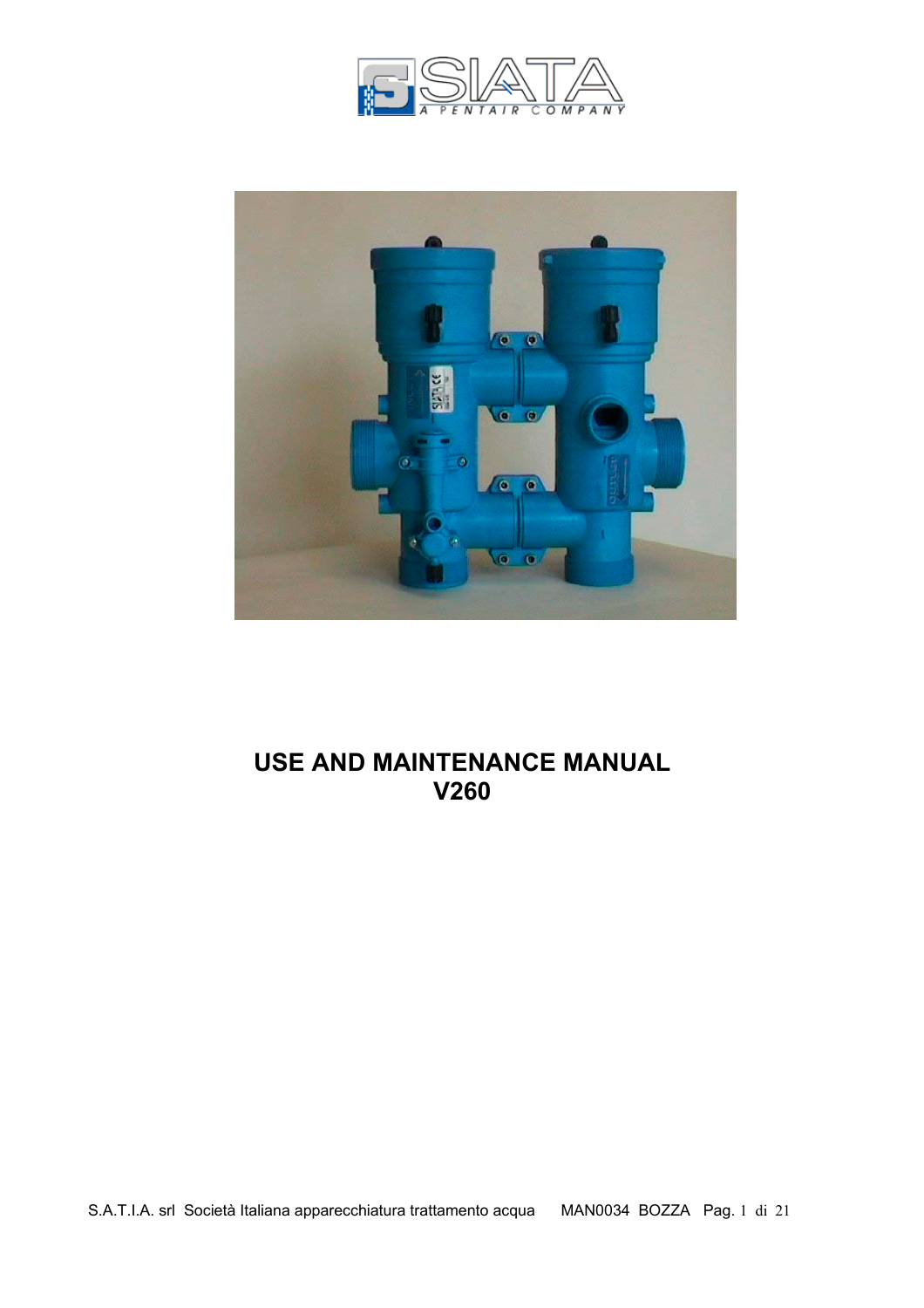



# **USE AND MAINTENANCE MANUAL V260**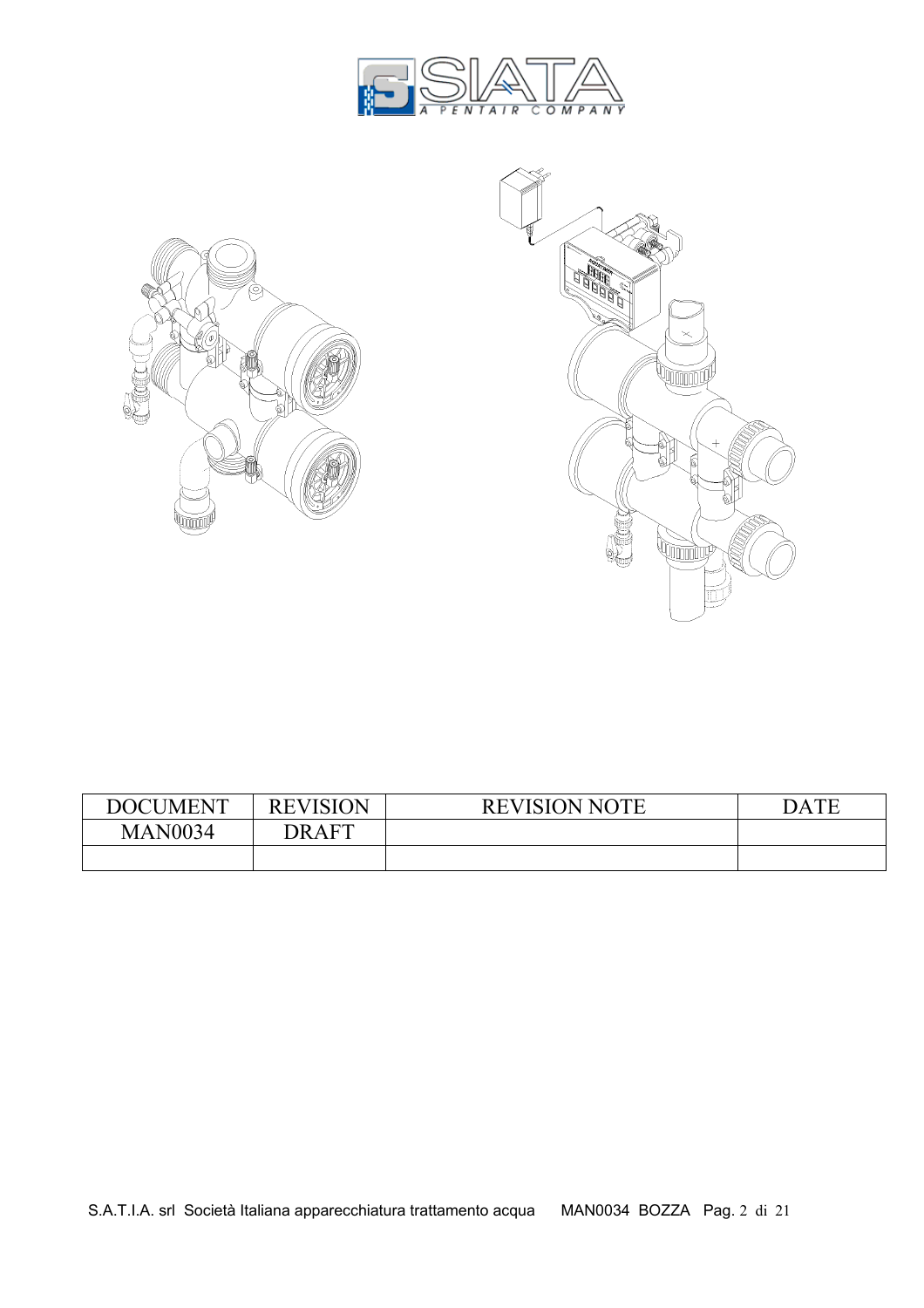



| <b>DOCUMENT</b> | <b>REVISION</b> | <b>REVISION NOTE</b> | .TF<br>DA. |
|-----------------|-----------------|----------------------|------------|
| <b>MAN0034</b>  | DRAFT           |                      |            |
|                 |                 |                      |            |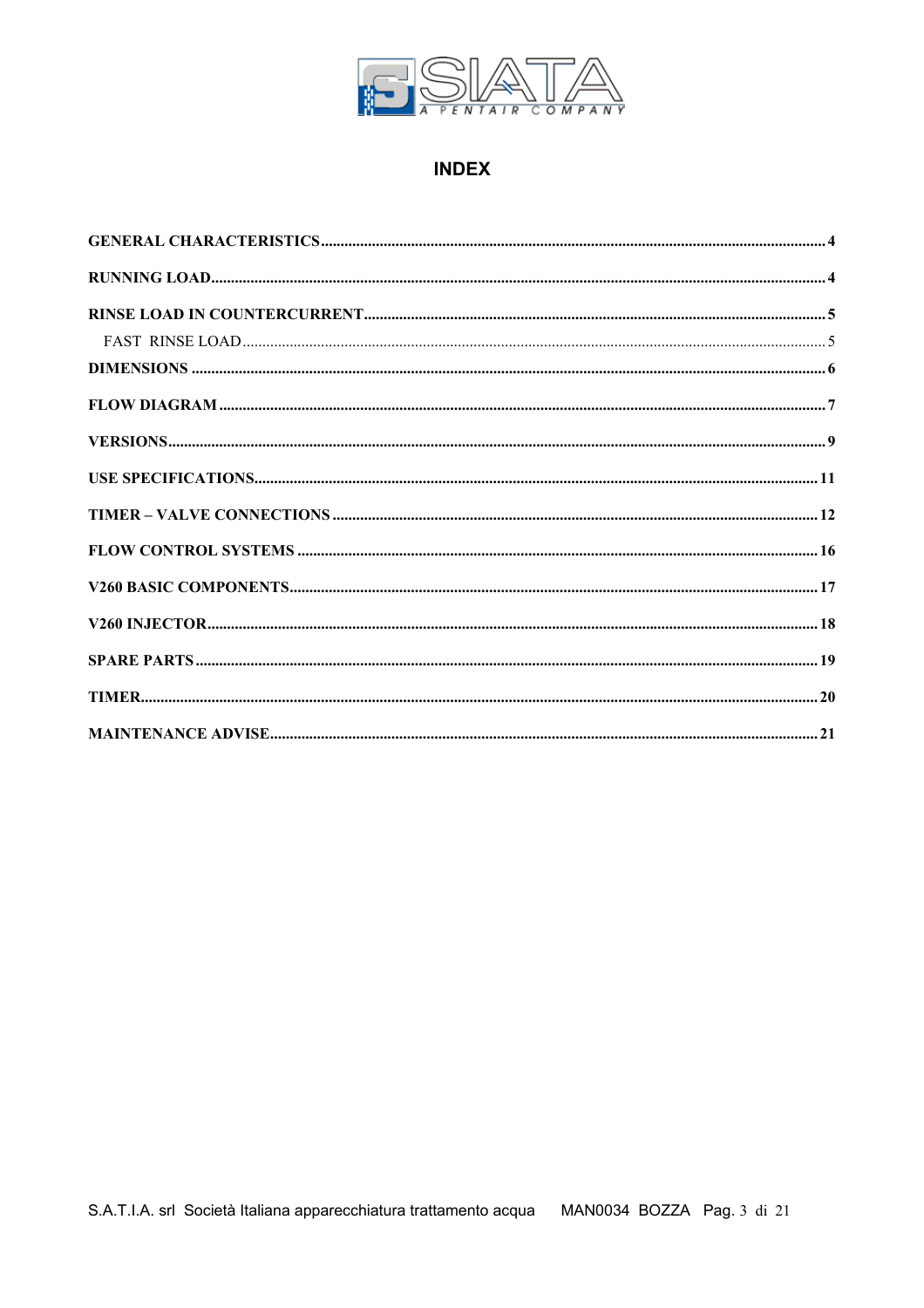

## **INDEX**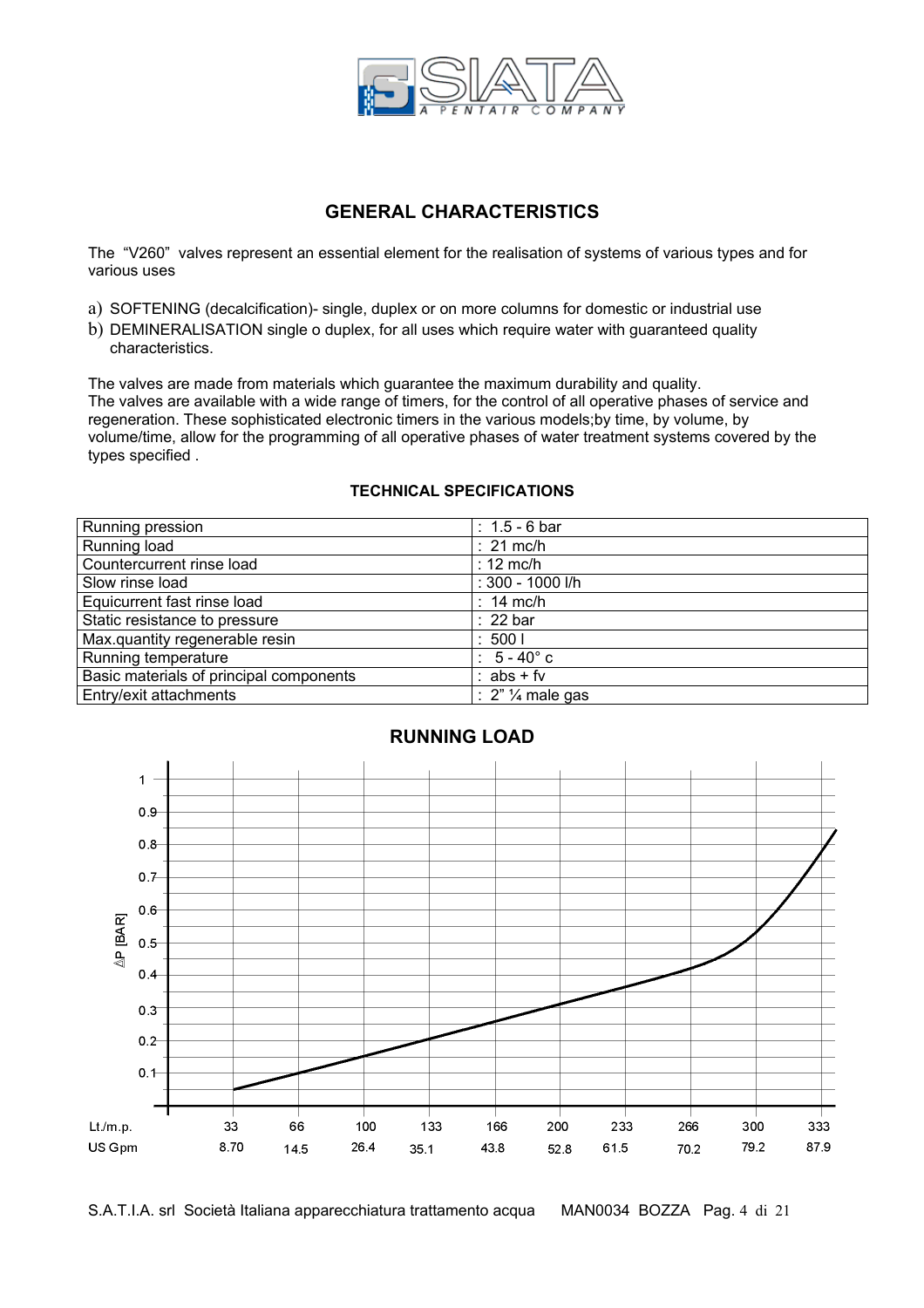

### **GENERAL CHARACTERISTICS**

The "V260" valves represent an essential element for the realisation of systems of various types and for various uses

- a) SOFTENING (decalcification)- single, duplex or on more columns for domestic or industrial use
- b) DEMINERALISATION single o duplex, for all uses which require water with guaranteed quality characteristics.

The valves are made from materials which guarantee the maximum durability and quality. The valves are available with a wide range of timers, for the control of all operative phases of service and regeneration. These sophisticated electronic timers in the various models;by time, by volume, by volume/time, allow for the programming of all operative phases of water treatment systems covered by the types specified .

#### **TECHNICAL SPECIFICATIONS**

| Running pression                        | : $1.5 - 6$ bar      |
|-----------------------------------------|----------------------|
| Running load                            | $: 21$ mc/h          |
| Countercurrent rinse load               | $: 12 \text{ mc/h}$  |
| Slow rinse load                         | : 300 - 1000 l/h     |
| Equicurrent fast rinse load             | $: 14$ mc/h          |
| Static resistance to pressure           | $: 22 \text{ bar}$   |
| Max.quantity regenerable resin          | :5001                |
| Running temperature                     | $: 5 - 40^{\circ}$ c |
| Basic materials of principal components | : $abs + fv$         |
| Entry/exit attachments                  | : $2"$ 1/4 male gas  |



# **RUNNING LOAD**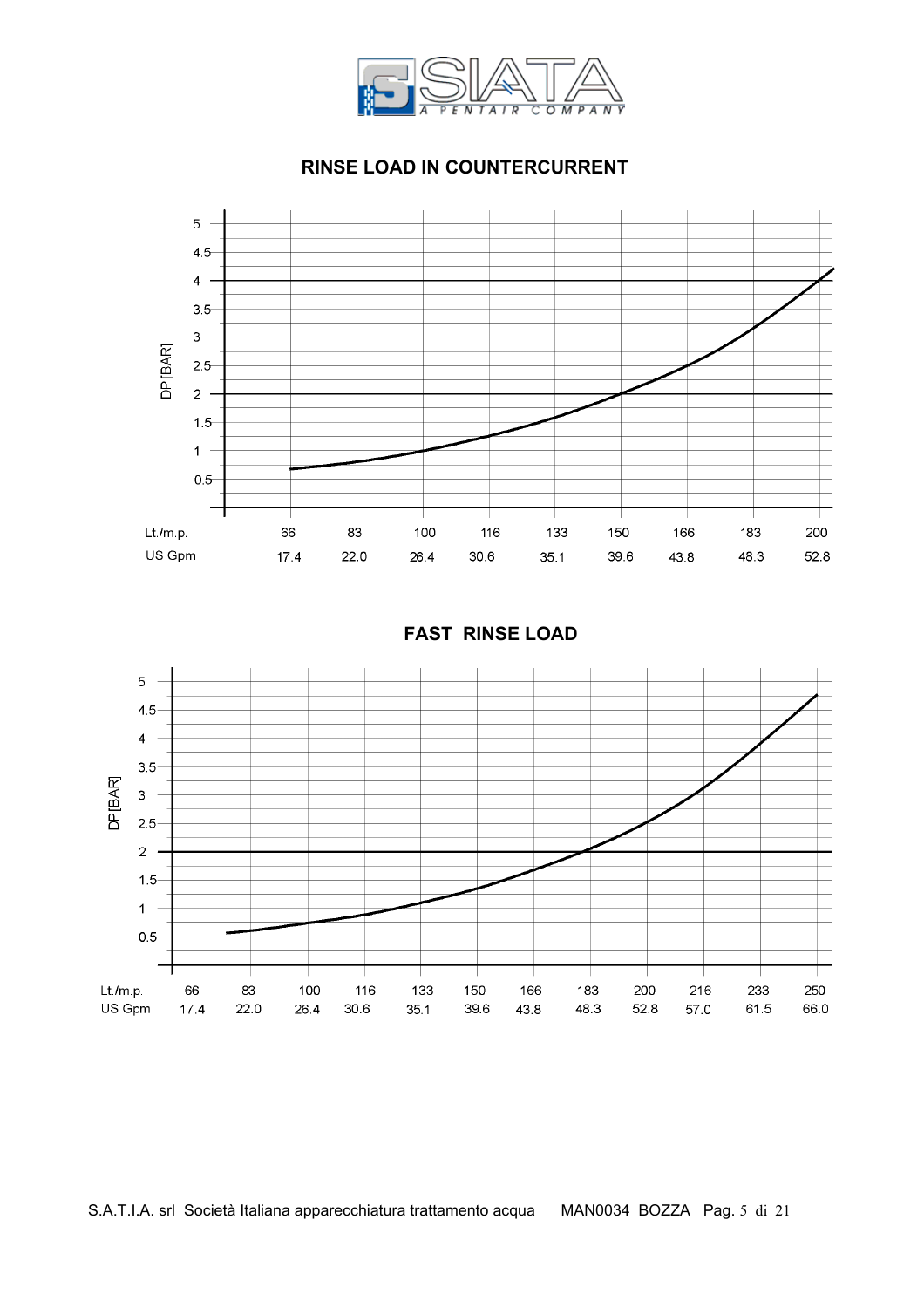

### **RINSE LOAD IN COUNTERCURRENT**





#### **FAST RINSE LOAD**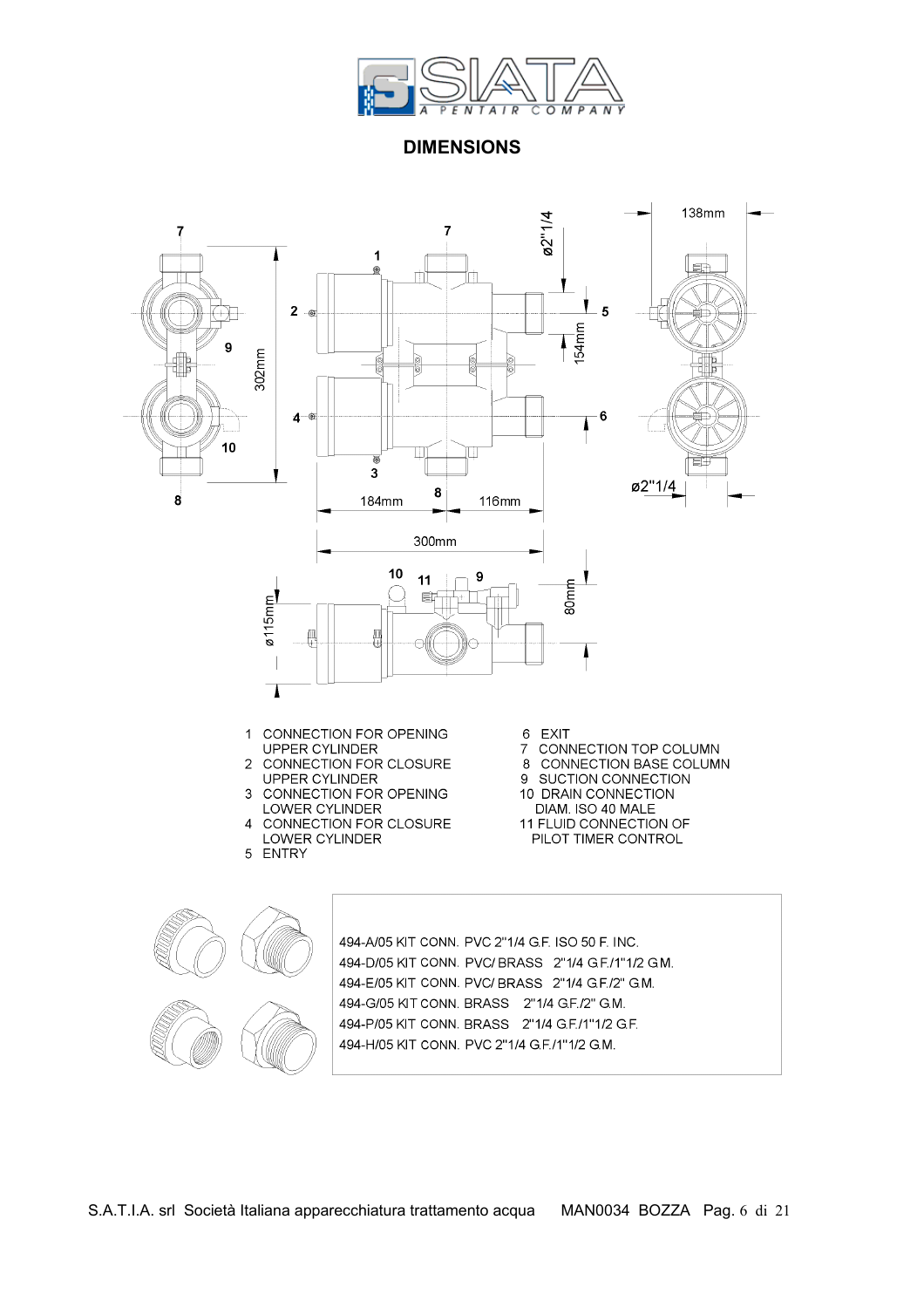

**DIMENSIONS** 

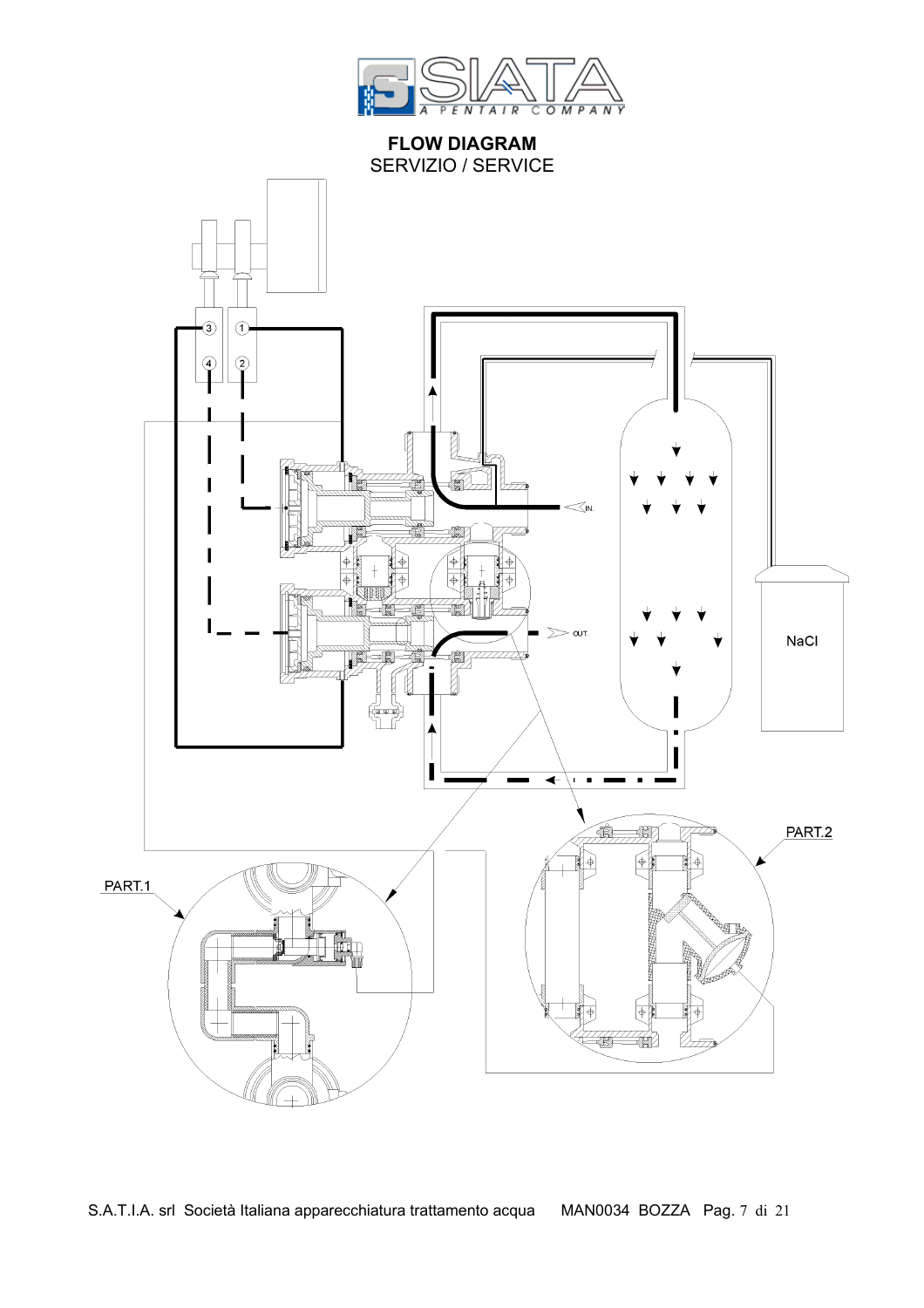

**FLOW DIAGRAM**  SERVIZIO / SERVICE

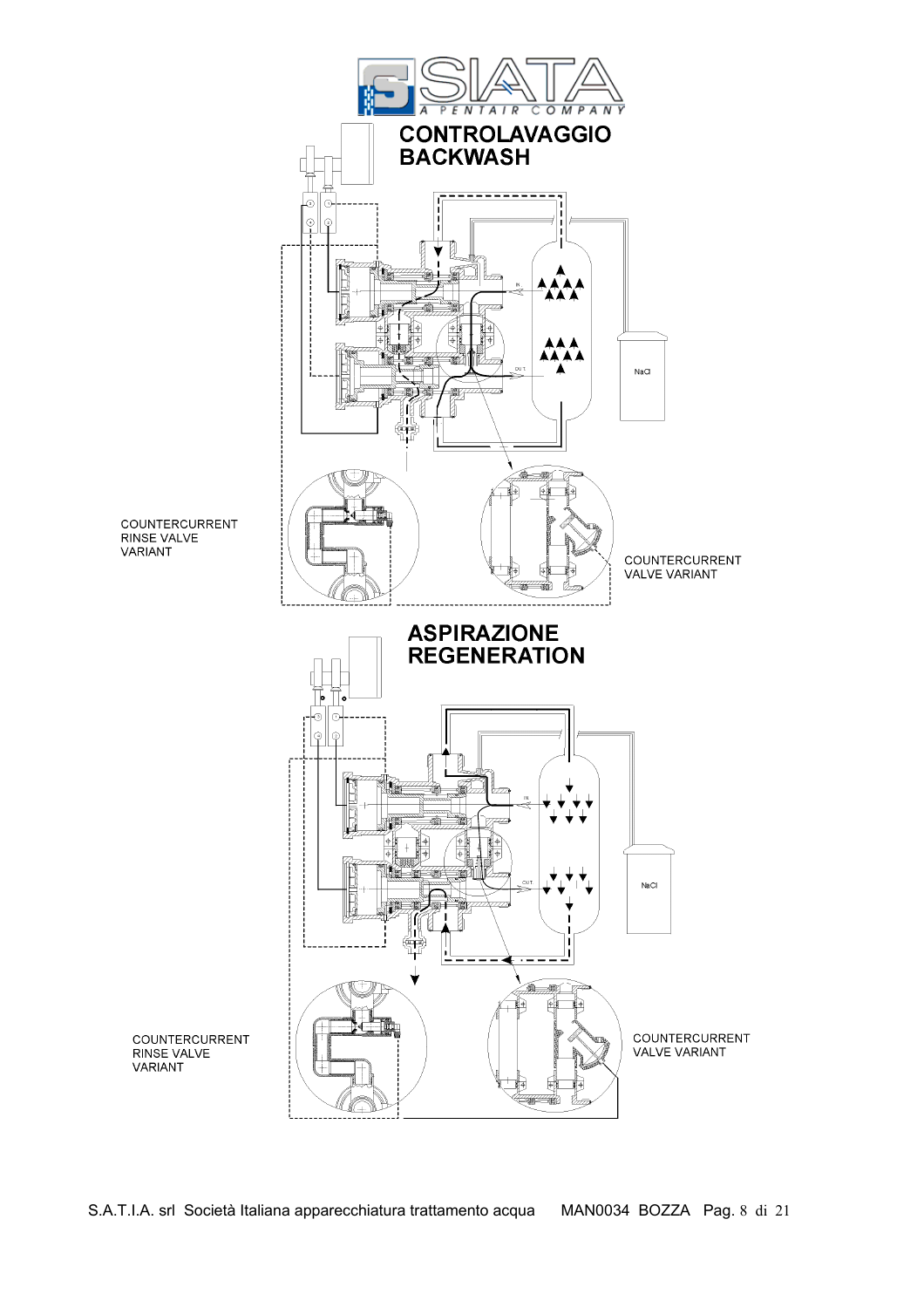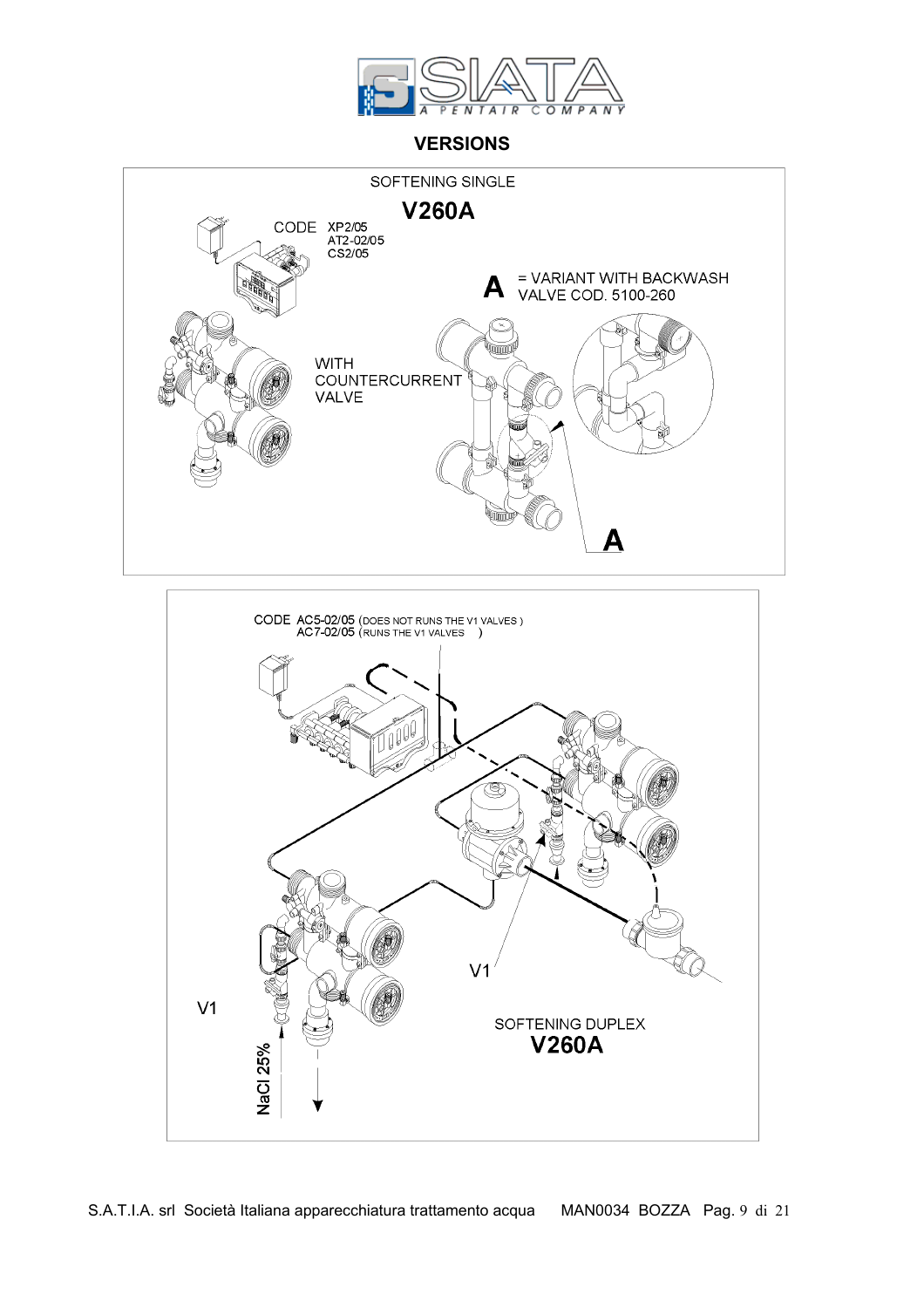

### **VERSIONS**



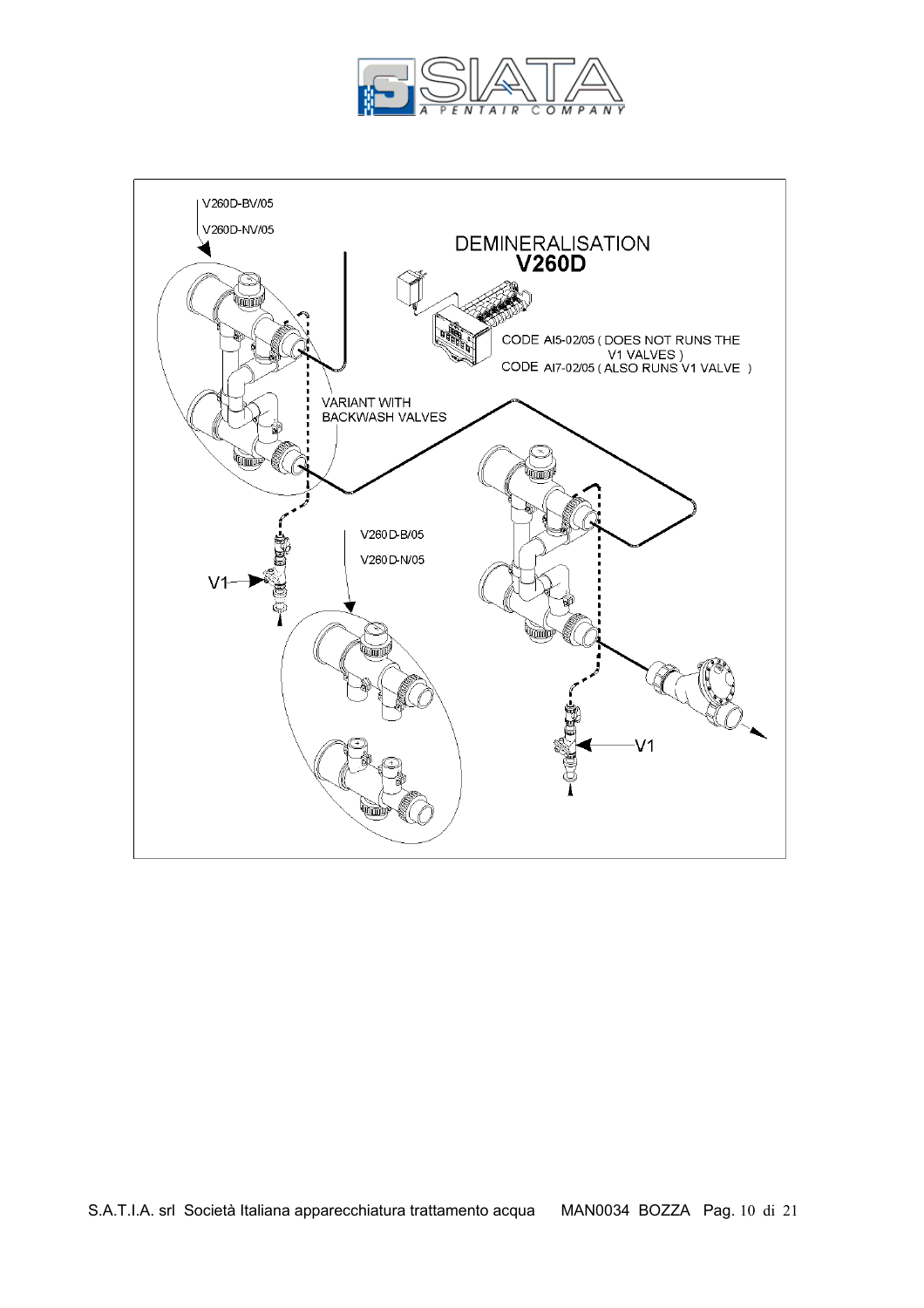

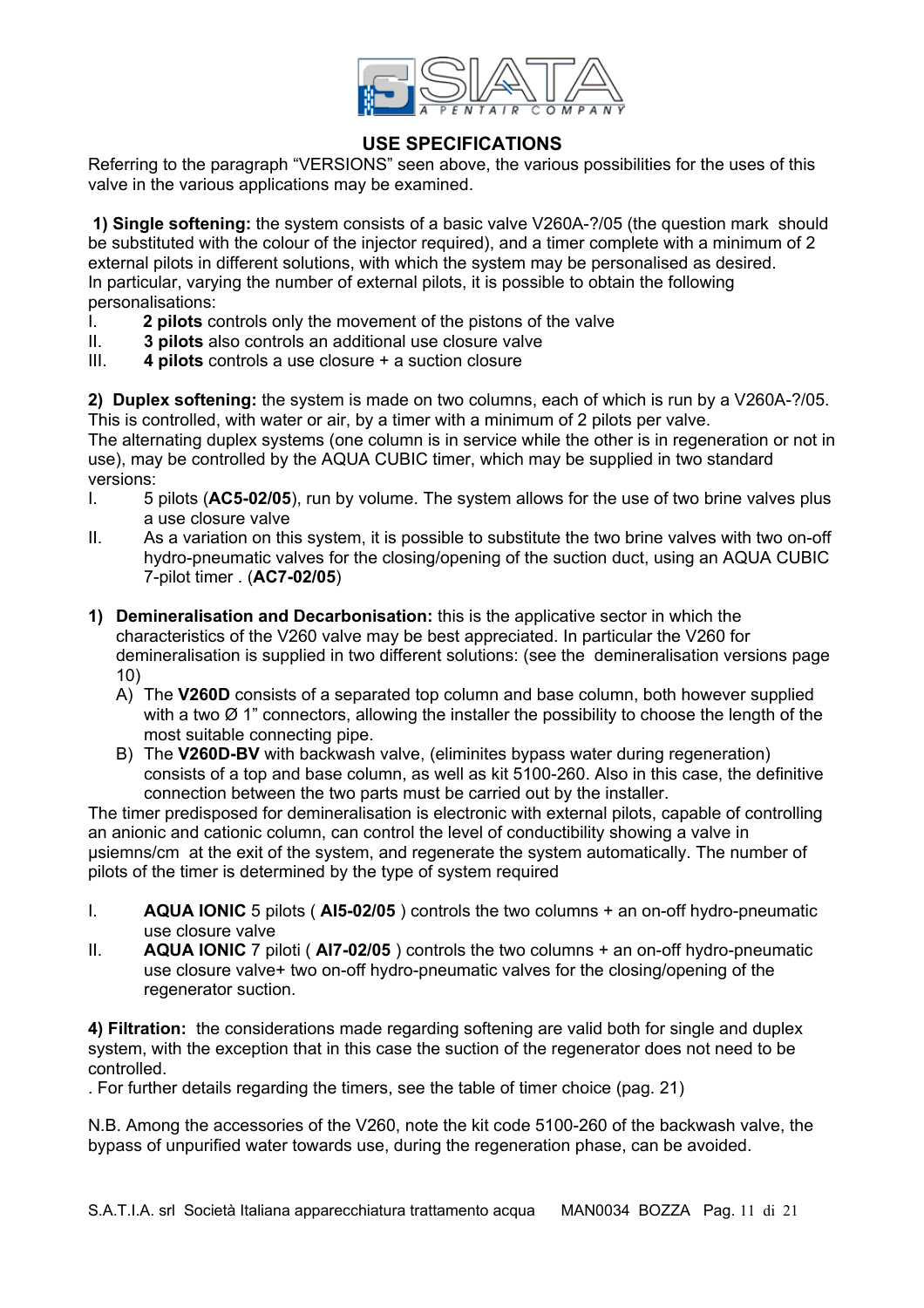

#### **USE SPECIFICATIONS**

Referring to the paragraph "VERSIONS" seen above, the various possibilities for the uses of this valve in the various applications may be examined.

 **1) Single softening:** the system consists of a basic valve V260A-?/05 (the question mark should be substituted with the colour of the injector required), and a timer complete with a minimum of 2 external pilots in different solutions, with which the system may be personalised as desired. In particular, varying the number of external pilots, it is possible to obtain the following personalisations:

- I. **2 pilots** controls only the movement of the pistons of the valve
- II. **3 pilots** also controls an additional use closure valve
- III. **4 pilots** controls a use closure + a suction closure

**2) Duplex softening:** the system is made on two columns, each of which is run by a V260A-?/05. This is controlled, with water or air, by a timer with a minimum of 2 pilots per valve.

The alternating duplex systems (one column is in service while the other is in regeneration or not in use), may be controlled by the AQUA CUBIC timer, which may be supplied in two standard versions:

- I. 5 pilots (**AC5-02/05**), run by volume. The system allows for the use of two brine valves plus a use closure valve
- II. As a variation on this system, it is possible to substitute the two brine valves with two on-off hydro-pneumatic valves for the closing/opening of the suction duct, using an AQUA CUBIC 7-pilot timer . (**AC7-02/05**)
- **1) Demineralisation and Decarbonisation:** this is the applicative sector in which the characteristics of the V260 valve may be best appreciated. In particular the V260 for demineralisation is supplied in two different solutions: (see the demineralisation versions page 10)
	- A) The **V260D** consists of a separated top column and base column, both however supplied with a two  $\varnothing$  1" connectors, allowing the installer the possibility to choose the length of the most suitable connecting pipe.
	- B) The **V260D-BV** with backwash valve, (eliminites bypass water during regeneration) consists of a top and base column, as well as kit 5100-260. Also in this case, the definitive connection between the two parts must be carried out by the installer.

The timer predisposed for demineralisation is electronic with external pilots, capable of controlling an anionic and cationic column, can control the level of conductibility showing a valve in µsiemns/cm at the exit of the system, and regenerate the system automatically. The number of pilots of the timer is determined by the type of system required

- I. **AQUA IONIC** 5 pilots ( **AI5-02/05** ) controls the two columns + an on-off hydro-pneumatic use closure valve
- II. **AQUA IONIC** 7 piloti ( **AI7-02/05** ) controls the two columns + an on-off hydro-pneumatic use closure valve+ two on-off hydro-pneumatic valves for the closing/opening of the regenerator suction.

**4) Filtration:** the considerations made regarding softening are valid both for single and duplex system, with the exception that in this case the suction of the regenerator does not need to be controlled.

. For further details regarding the timers, see the table of timer choice (pag. 21)

N.B. Among the accessories of the V260, note the kit code 5100-260 of the backwash valve, the bypass of unpurified water towards use, during the regeneration phase, can be avoided.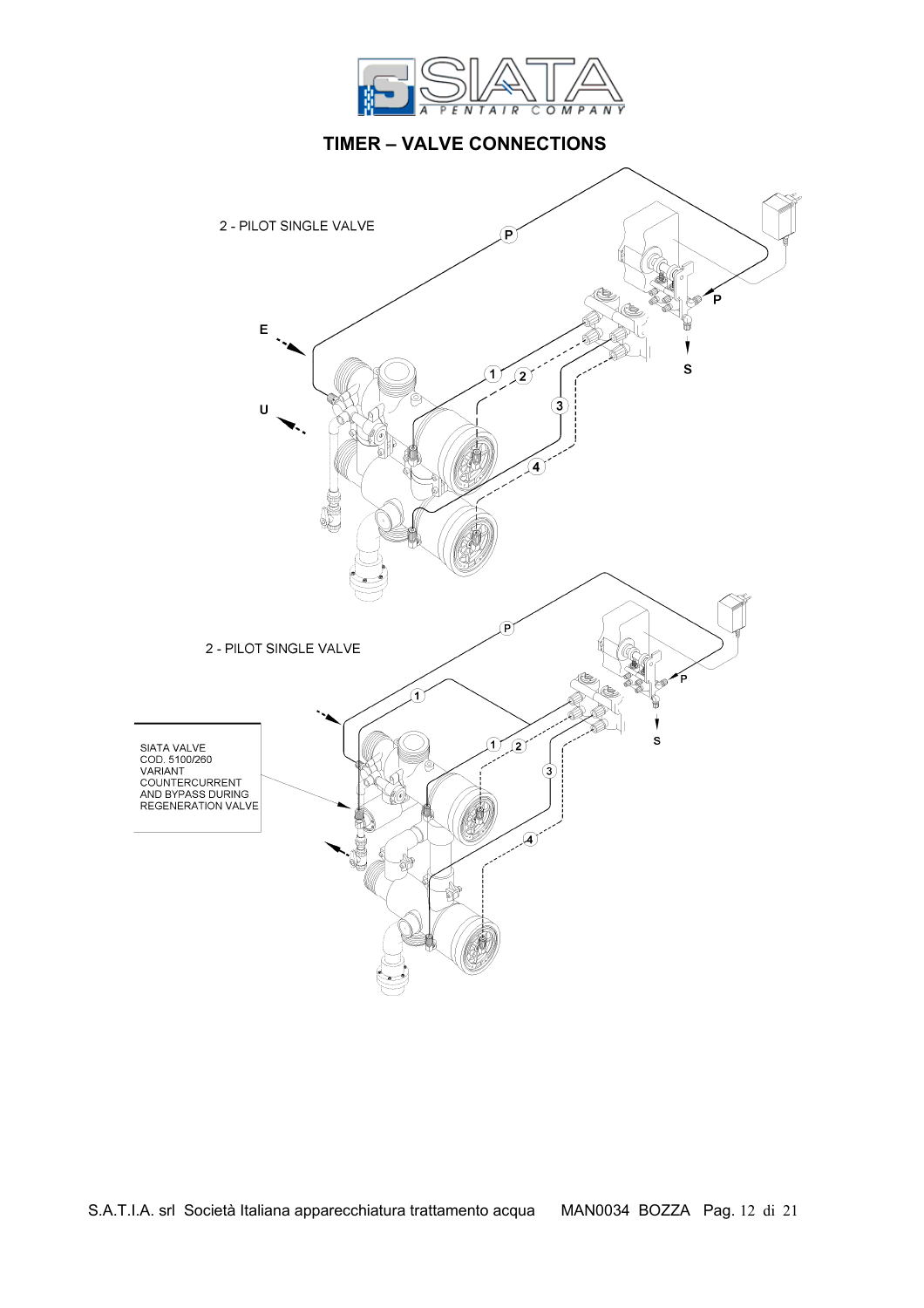

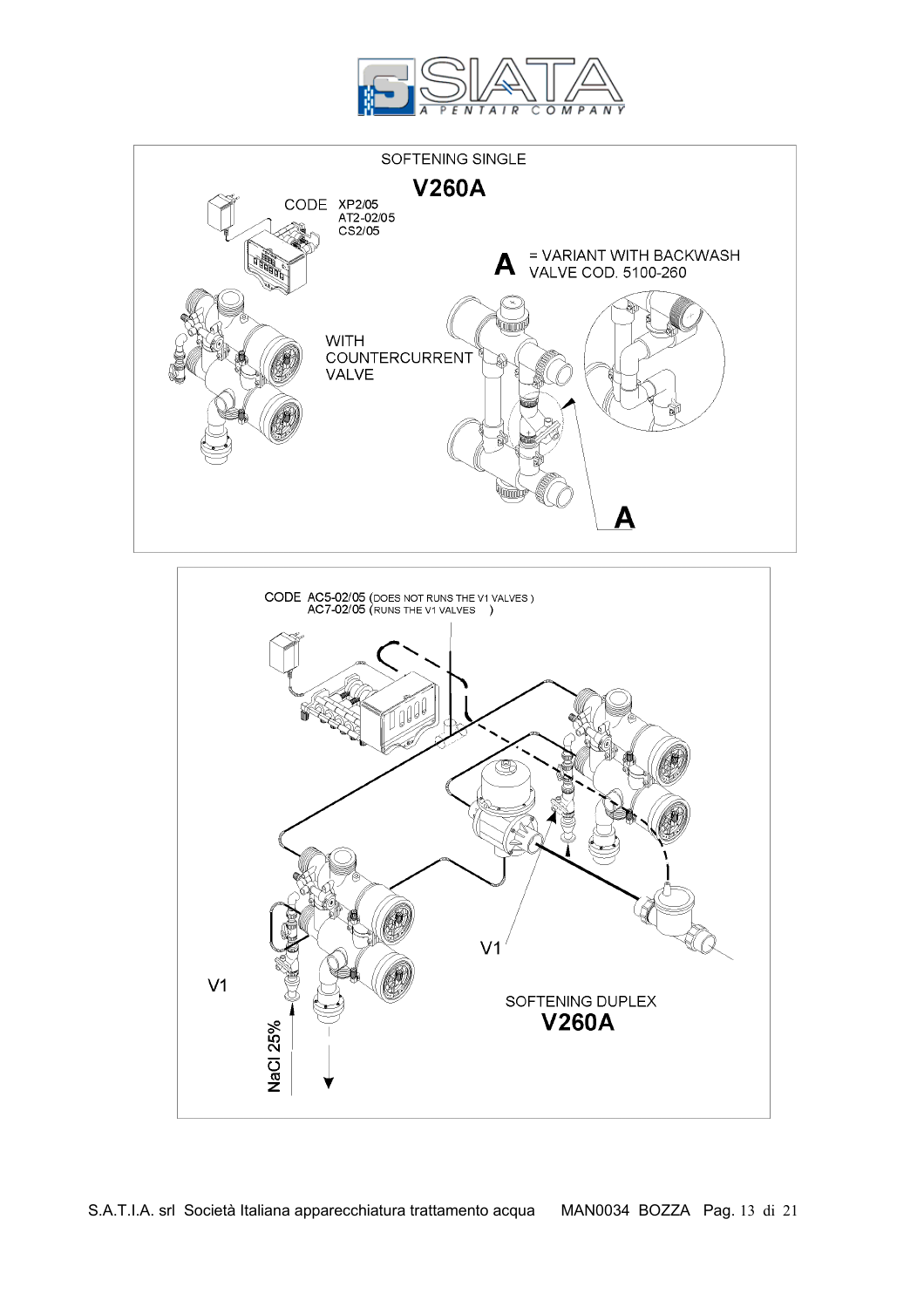





S.A.T.I.A. srl Società Italiana apparecchiatura trattamento acqua MAN0034 BOZZA Pag. 13 di 21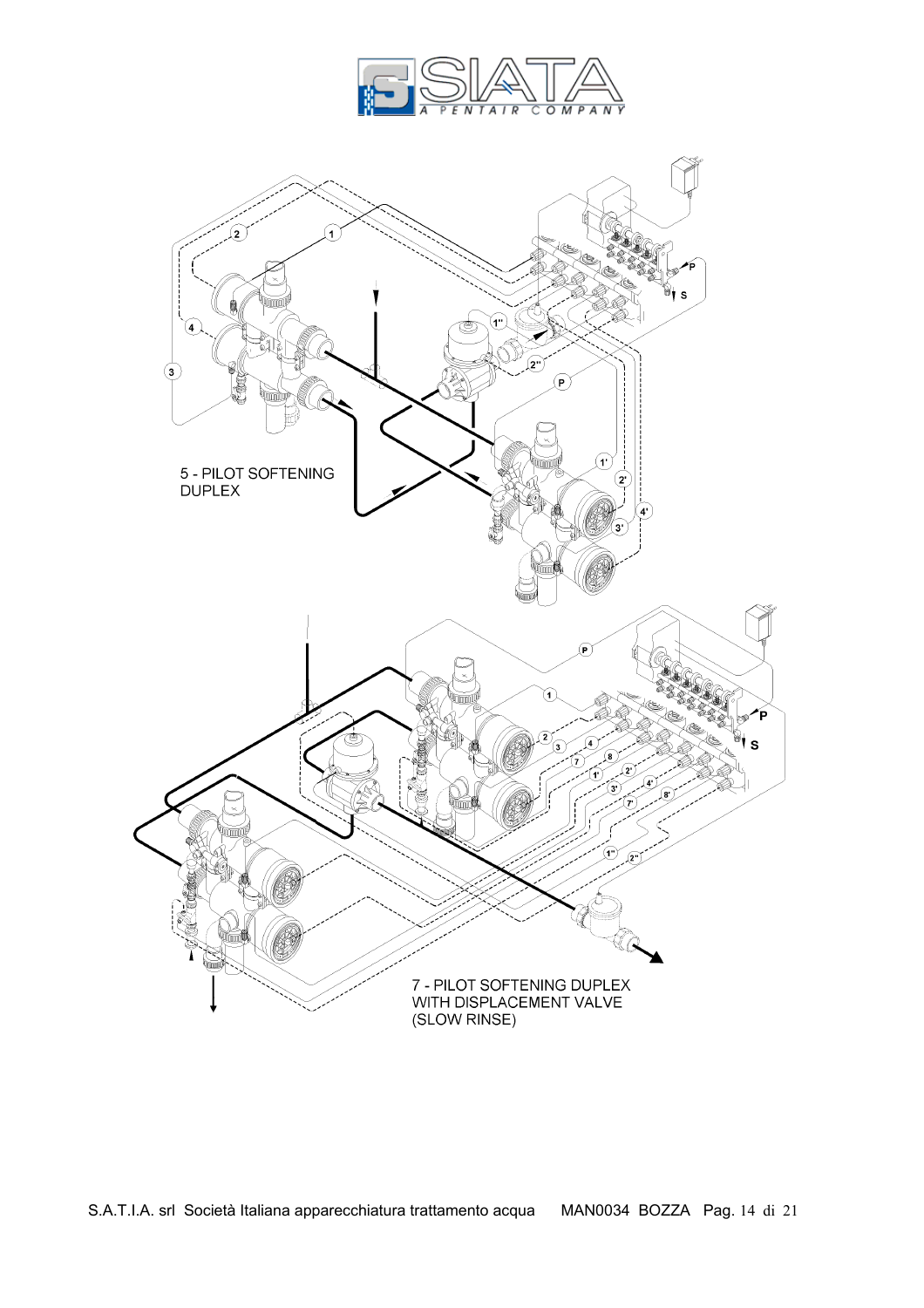

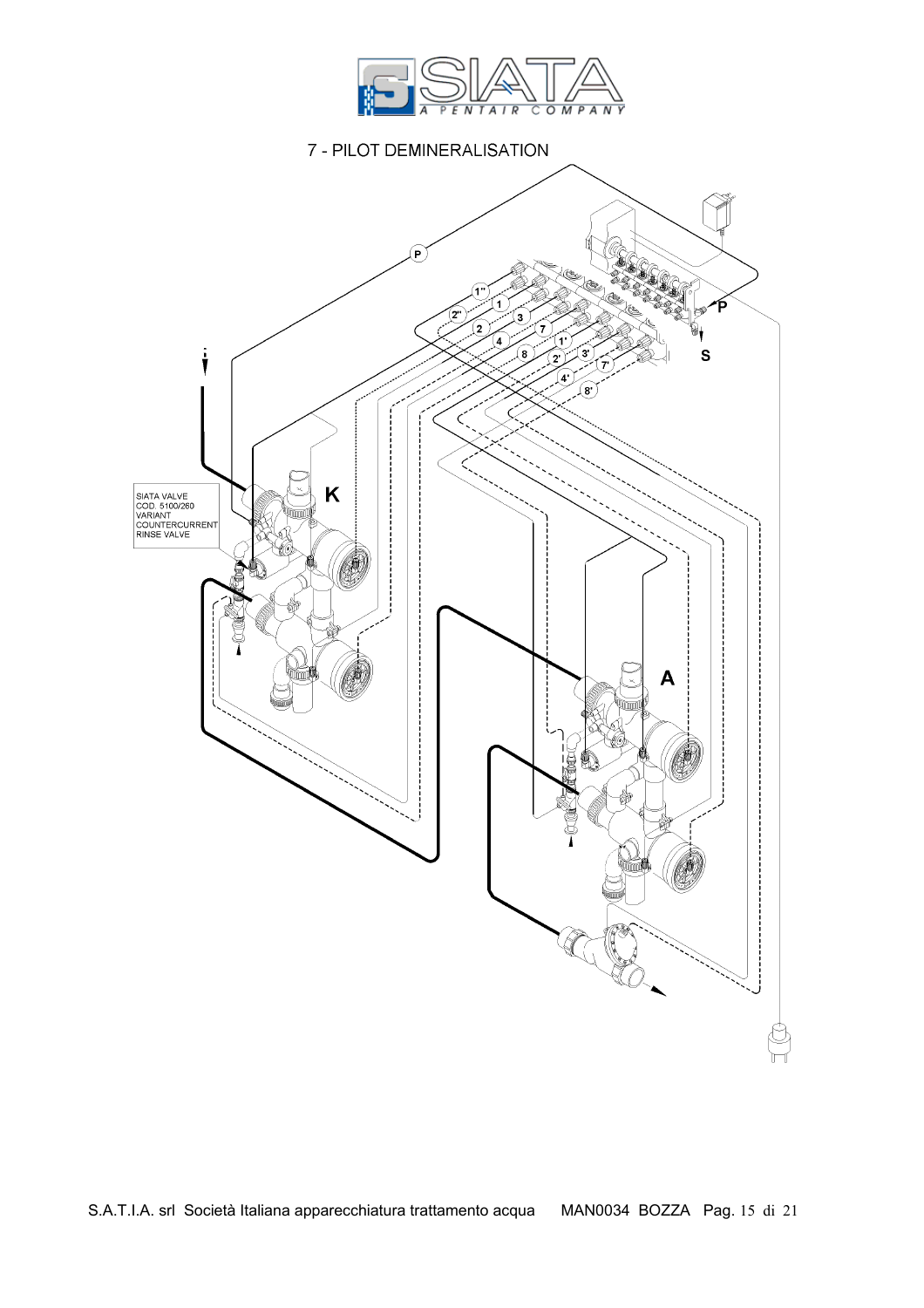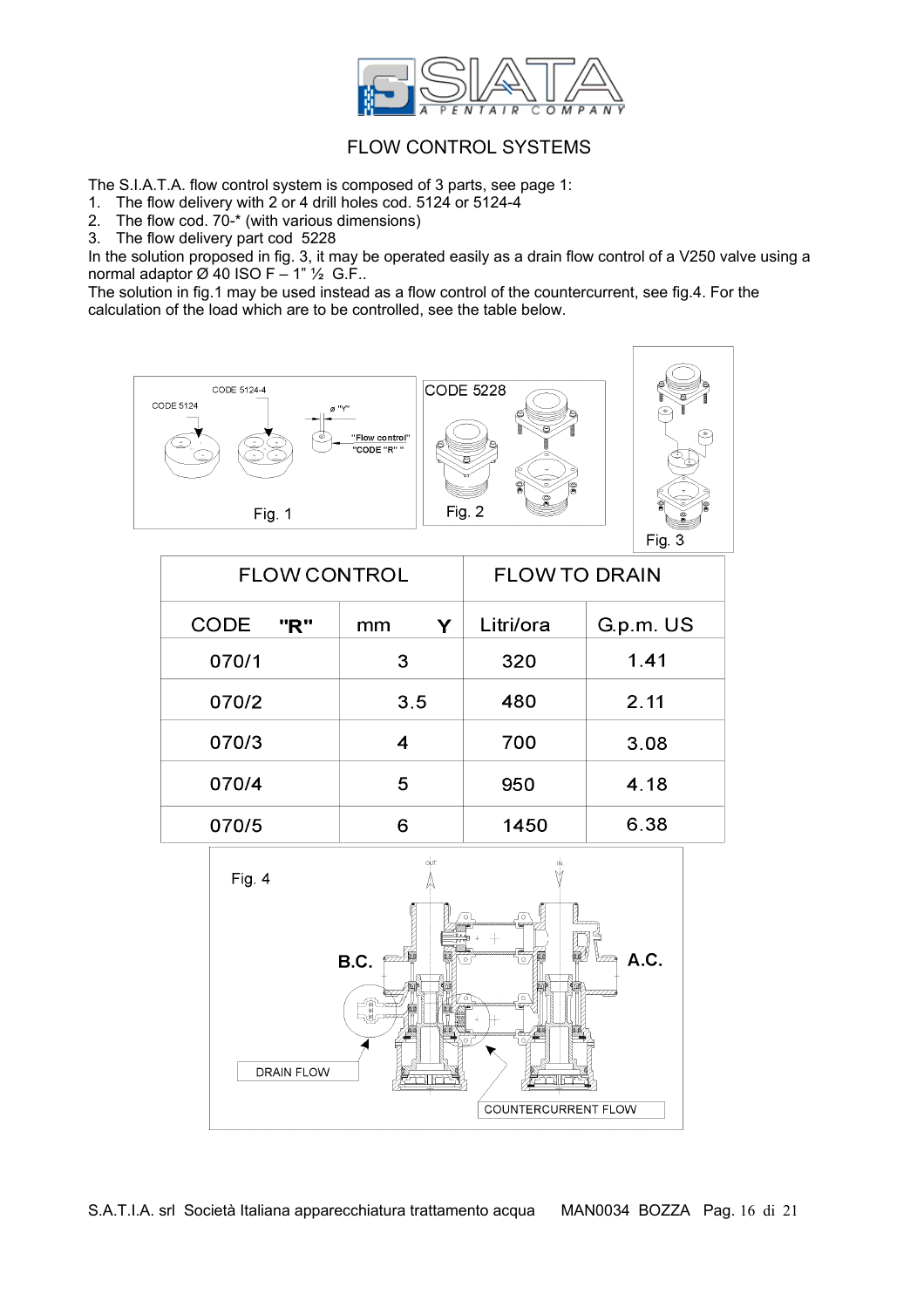

#### FLOW CONTROL SYSTEMS

The S.I.A.T.A. flow control system is composed of 3 parts, see page 1:

- 1. The flow delivery with 2 or 4 drill holes cod. 5124 or 5124-4
- 2. The flow cod.  $70 x$  (with various dimensions)
- 3. The flow delivery part cod 5228

In the solution proposed in fig. 3, it may be operated easily as a drain flow control of a V250 valve using a normal adaptor  $\varnothing$  40 ISO F – 1"  $\frac{1}{2}$  G.F..

The solution in fig.1 may be used instead as a flow control of the countercurrent, see fig.4. For the calculation of the load which are to be controlled, see the table below.



| <b>FLOW CONTROL</b> |         | <b>FLOW TO DRAIN</b> |           |  |  |  |
|---------------------|---------|----------------------|-----------|--|--|--|
| <b>CODE</b><br>"R"  | Y<br>mm | Litri/ora            | G.p.m. US |  |  |  |
| 070/1               | 3       | 320                  | 1.41      |  |  |  |
| 070/2               | 3.5     | 480                  | 2.11      |  |  |  |
| 070/3               | 4       | 700                  | 3.08      |  |  |  |
| 070/4               | 5       | 950                  | 4.18      |  |  |  |
| 070/5               | 6       | 1450                 | 6.38      |  |  |  |

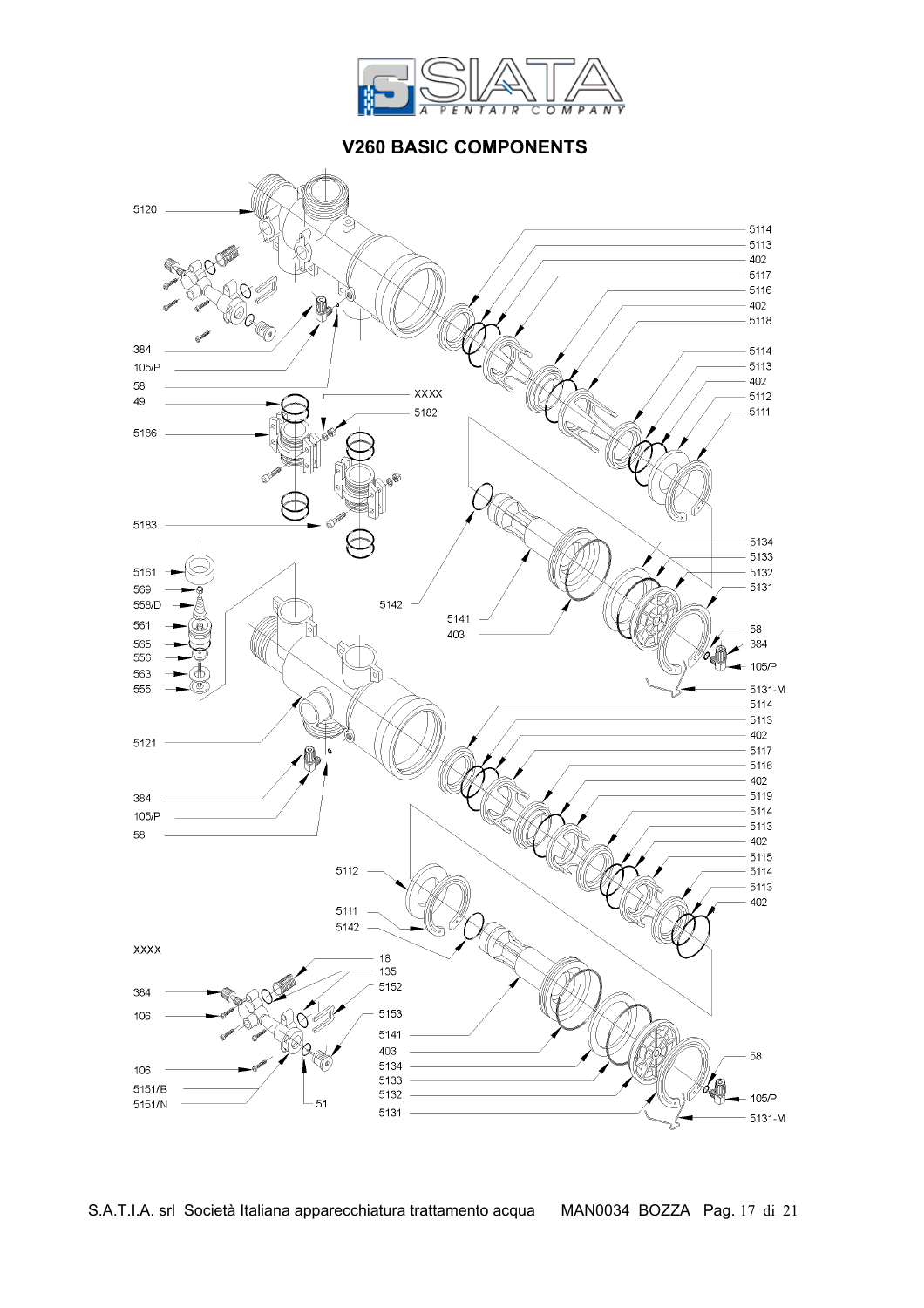

### **V260 BASIC COMPONENTS**



S.A.T.I.A. srl Società Italiana apparecchiatura trattamento acqua MAN0034 BOZZA Pag. 17 di 21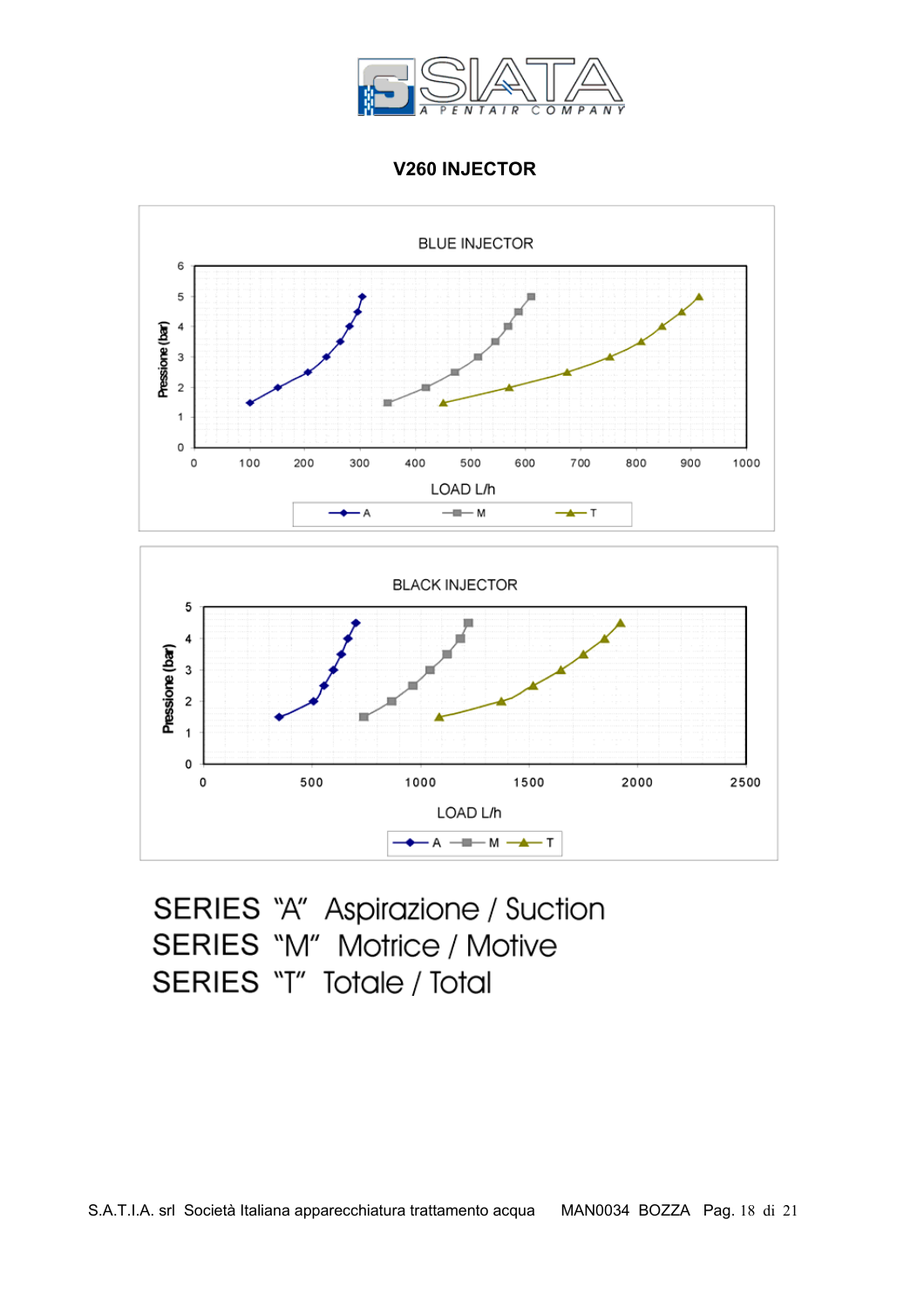

 **V260 INJECTOR** 



SERIES "A" Aspirazione / Suction SERIES "M" Motrice / Motive SERIES "T" Totale / Total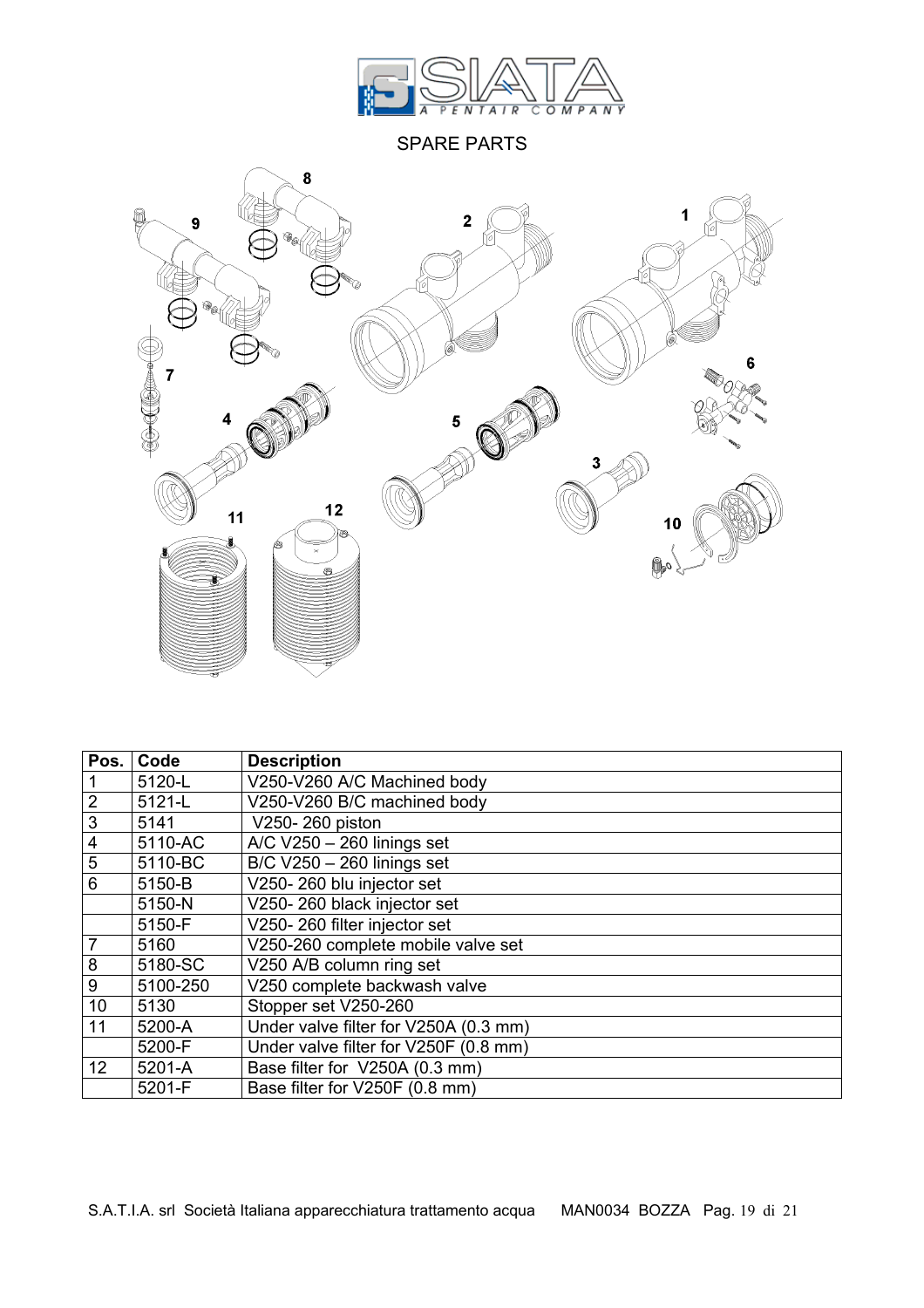

SPARE PARTS



| Pos.                    | Code     | <b>Description</b>                    |  |  |  |
|-------------------------|----------|---------------------------------------|--|--|--|
|                         | 5120-L   | V250-V260 A/C Machined body           |  |  |  |
| $\overline{2}$          | 5121-L   | V250-V260 B/C machined body           |  |  |  |
| $\overline{3}$          | 5141     | V250-260 piston                       |  |  |  |
| $\overline{\mathbf{4}}$ | 5110-AC  | $\triangle$ /C V250 - 260 linings set |  |  |  |
| $\overline{5}$          | 5110-BC  | B/C V250 - 260 linings set            |  |  |  |
| $\overline{6}$          | 5150-B   | V250-260 blu injector set             |  |  |  |
|                         | 5150-N   | V250-260 black injector set           |  |  |  |
|                         | 5150-F   | V250-260 filter injector set          |  |  |  |
| $\overline{7}$          | 5160     | V250-260 complete mobile valve set    |  |  |  |
| 8                       | 5180-SC  | V250 A/B column ring set              |  |  |  |
| 9                       | 5100-250 | V250 complete backwash valve          |  |  |  |
| 10                      | 5130     | Stopper set V250-260                  |  |  |  |
| 11                      | 5200-A   | Under valve filter for V250A (0.3 mm) |  |  |  |
|                         | 5200-F   | Under valve filter for V250F (0.8 mm) |  |  |  |
| 12                      | 5201-A   | Base filter for V250A (0.3 mm)        |  |  |  |
|                         | 5201-F   | Base filter for V250F (0.8 mm)        |  |  |  |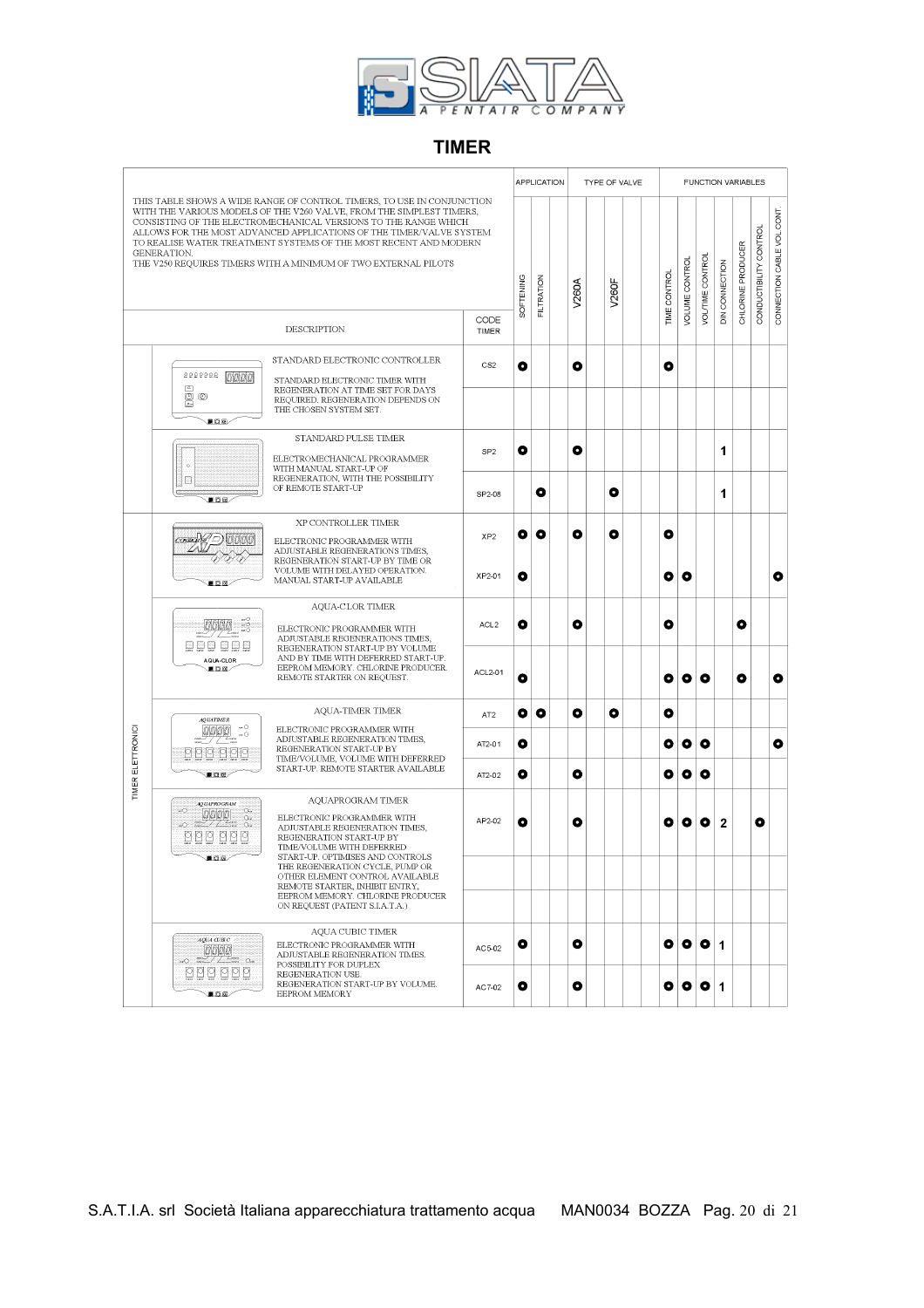

### **TIMER**

|                                                                                                                                                                                                                                                                                                                                                                                                                                                      |                                                                                                                                                                                                                                                                                                                                                                                                                                                                      |                                                                                                                                                                                                                                      |                  | <b>APPLICATION</b> |            | TYPE OF VALVE |   |              |   | <b>FUNCTION VARIABLES</b> |                      |                 |                         |                   |                           |                            |
|------------------------------------------------------------------------------------------------------------------------------------------------------------------------------------------------------------------------------------------------------------------------------------------------------------------------------------------------------------------------------------------------------------------------------------------------------|----------------------------------------------------------------------------------------------------------------------------------------------------------------------------------------------------------------------------------------------------------------------------------------------------------------------------------------------------------------------------------------------------------------------------------------------------------------------|--------------------------------------------------------------------------------------------------------------------------------------------------------------------------------------------------------------------------------------|------------------|--------------------|------------|---------------|---|--------------|---|---------------------------|----------------------|-----------------|-------------------------|-------------------|---------------------------|----------------------------|
| THIS TABLE SHOWS A WIDE RANGE OF CONTROL TIMERS, TO USE IN CONJUNCTION<br>WITH THE VARIOUS MODELS OF THE V260 VALVE, FROM THE SIMPLEST TIMERS,<br>CONSISTING OF THE ELECTROMECHANICAL VERSIONS TO THE RANGE WHICH<br>ALLOWS FOR THE MOST ADVANCED APPLICATIONS OF THE TIMER/VALVE SYSTEM<br>TO REALISE WATER TREATMENT SYSTEMS OF THE MOST RECENT AND MODERN<br><b>GENERATION.</b><br>THE V250 REQUIRES TIMERS WITH A MINIMUM OF TWO EXTERNAL PILOTS |                                                                                                                                                                                                                                                                                                                                                                                                                                                                      |                                                                                                                                                                                                                                      |                  | SOFTENING          | FILTRATION | <b>V260A</b>  |   | <b>V260F</b> |   | TIME CONTROL              | <b>VOLUME CONTRO</b> | VOLITIME CONTRO | DIN CONNECTION          | CHLORINE PRODUCER | CONTROI<br>CONDUCTIBILITY | CONNECTION CABLE VOL.CONT. |
|                                                                                                                                                                                                                                                                                                                                                                                                                                                      |                                                                                                                                                                                                                                                                                                                                                                                                                                                                      | <b>DESCRIPTION</b>                                                                                                                                                                                                                   | CODE<br>TIMER    |                    |            |               |   |              |   |                           |                      |                 |                         |                   |                           |                            |
|                                                                                                                                                                                                                                                                                                                                                                                                                                                      | STANDARD ELECTRONIC CONTROLLER<br>222222<br>10000<br>STANDARD ELECTRONIC TIMER WITH                                                                                                                                                                                                                                                                                                                                                                                  |                                                                                                                                                                                                                                      |                  | ۰                  |            | ۰             |   |              |   | ۰                         |                      |                 |                         |                   |                           |                            |
|                                                                                                                                                                                                                                                                                                                                                                                                                                                      | ē<br>O<br>夏百瓦                                                                                                                                                                                                                                                                                                                                                                                                                                                        | REGENERATION AT TIME SET FOR DAYS<br>REQUIRED. REGENERATION DEPENDS ON<br>THE CHOSEN SYSTEM SET.                                                                                                                                     |                  |                    |            |               |   |              |   |                           |                      |                 |                         |                   |                           |                            |
|                                                                                                                                                                                                                                                                                                                                                                                                                                                      |                                                                                                                                                                                                                                                                                                                                                                                                                                                                      | STANDARD PULSE TIMER                                                                                                                                                                                                                 |                  |                    |            |               |   |              |   |                           |                      |                 |                         |                   |                           |                            |
|                                                                                                                                                                                                                                                                                                                                                                                                                                                      | , o<br>E                                                                                                                                                                                                                                                                                                                                                                                                                                                             | ELECTROMECHANICAL PROGRAMMER<br>WITH MANUAL START-UP OF<br>REGENERATION, WITH THE POSSIBILITY                                                                                                                                        | SP <sub>2</sub>  | o                  |            | ۰             |   |              |   |                           |                      |                 | 1                       |                   |                           |                            |
|                                                                                                                                                                                                                                                                                                                                                                                                                                                      | 要的图                                                                                                                                                                                                                                                                                                                                                                                                                                                                  | OF REMOTE START-UP                                                                                                                                                                                                                   | SP2-08           |                    | O          |               |   | o            |   |                           |                      |                 | 1                       |                   |                           |                            |
| connaith<br><b>BOKE</b><br>0000<br><u>boo ooo</u><br>AQUA-CLOR<br><b>BDE</b>                                                                                                                                                                                                                                                                                                                                                                         |                                                                                                                                                                                                                                                                                                                                                                                                                                                                      | XP CONTROLLER TIMER<br>ELECTRONIC PROGRAMMER WITH<br>ADJUSTABLE REGENERATIONS TIMES,<br>REGENERATION START-UP BY TIME OR                                                                                                             | XP <sub>2</sub>  | o                  | O          | o             |   | o            |   | o                         |                      |                 |                         |                   |                           |                            |
|                                                                                                                                                                                                                                                                                                                                                                                                                                                      |                                                                                                                                                                                                                                                                                                                                                                                                                                                                      | VOLUME WITH DELAYED OPERATION.<br>MANUAL START-UP AVAILABLE                                                                                                                                                                          | XP2-01           | ۰                  |            |               |   |              |   | O                         | O                    |                 |                         |                   |                           | o                          |
|                                                                                                                                                                                                                                                                                                                                                                                                                                                      | ыÓ<br>ು ಎಂ<br>мŌ                                                                                                                                                                                                                                                                                                                                                                                                                                                     | <b>AOUA-CLOR TIMER</b><br>ELECTRONIC PROGRAMMER WITH<br>ADJUSTABLE REGENERATIONS TIMES,<br>REGENERATION START-UP BY VOLUME<br>AND BY TIME WITH DEFERRED START-UP.<br>EEPROM MEMORY. CHLORINE PRODUCER.<br>REMOTE STARTER ON REQUEST. | ACL <sub>2</sub> | o                  |            | ۰             |   |              |   | o                         |                      |                 |                         | o                 |                           |                            |
|                                                                                                                                                                                                                                                                                                                                                                                                                                                      |                                                                                                                                                                                                                                                                                                                                                                                                                                                                      |                                                                                                                                                                                                                                      | ACL2-01          | ۰                  |            |               |   |              |   | O                         | o                    | o               |                         | ۰                 |                           | ۰                          |
| <b>AQUATIMER</b><br>$\sim$ O<br>TIMER ELETTRONIC<br>COOO<br>$\sim$ O                                                                                                                                                                                                                                                                                                                                                                                 | AQUA-TIMER TIMER                                                                                                                                                                                                                                                                                                                                                                                                                                                     | AT <sub>2</sub>                                                                                                                                                                                                                      | o                | O                  | O          |               | o |              | o |                           |                      |                 |                         |                   |                           |                            |
|                                                                                                                                                                                                                                                                                                                                                                                                                                                      |                                                                                                                                                                                                                                                                                                                                                                                                                                                                      | ELECTRONIC PROGRAMMER WITH<br>ADJUSTABLE REGENERATION TIMES,<br>REGENERATION START-UP BY<br>TIME/VOLUME, VOLUME WITH DEFERRED                                                                                                        | AT2-01           | ۰                  |            |               |   |              |   | o                         | ۰                    | O               |                         |                   |                           | o                          |
|                                                                                                                                                                                                                                                                                                                                                                                                                                                      | $B$ $C$ $C$ .                                                                                                                                                                                                                                                                                                                                                                                                                                                        | START-UP. REMOTE STARTER AVAILABLE                                                                                                                                                                                                   | AT2-02           | o                  |            | ۰             |   |              |   | о                         | o                    | ۰               |                         |                   |                           |                            |
| <b>AOUAPROGRAM</b><br>O.<br>ಎ೧<br>o.<br>O.<br>p<br>自む区                                                                                                                                                                                                                                                                                                                                                                                               |                                                                                                                                                                                                                                                                                                                                                                                                                                                                      | AQUAPROGRAM TIMER<br>ELECTRONIC PROGRAMMER WITH<br>ADJUSTABLE REGENERATION TIMES.<br>REGENERATION START-UP BY<br>TIME/VOLUME WITH DEFERRED                                                                                           | AP2-02           | o                  |            | O             |   |              |   | о                         | o                    | o               | $\overline{\mathbf{2}}$ |                   | ۰                         |                            |
|                                                                                                                                                                                                                                                                                                                                                                                                                                                      | START-UP. OPTIMISES AND CONTROLS<br>THE REGENERATION CYCLE, PUMP OR<br>OTHER ELEMENT CONTROL AVAILABLE<br>REMOTE STARTER, INHIBIT ENTRY,                                                                                                                                                                                                                                                                                                                             |                                                                                                                                                                                                                                      |                  |                    |            |               |   |              |   |                           |                      |                 |                         |                   |                           |                            |
|                                                                                                                                                                                                                                                                                                                                                                                                                                                      |                                                                                                                                                                                                                                                                                                                                                                                                                                                                      | EEPROM MEMORY. CHLORINE PRODUCER<br>ON REOUEST (PATENT S.I.A.T.A.)                                                                                                                                                                   |                  |                    |            |               |   |              |   |                           |                      |                 |                         |                   |                           |                            |
|                                                                                                                                                                                                                                                                                                                                                                                                                                                      | AQUA CUBIC TIMER<br>AQUA CUBIC<br>ELECTRONIC PROGRAMMER WITH<br>appo<br>ADJUSTABLE REGENERATION TIMES.<br>$\frac{1}{2}$ and $\frac{1}{2}$ $\frac{1}{2}$ $\frac{1}{2}$ $\frac{1}{2}$ $\frac{1}{2}$ $\frac{1}{2}$ $\frac{1}{2}$ $\frac{1}{2}$ $\frac{1}{2}$ $\frac{1}{2}$ $\frac{1}{2}$ $\frac{1}{2}$ $\frac{1}{2}$ $\frac{1}{2}$ $\frac{1}{2}$ $\frac{1}{2}$ $\frac{1}{2}$ $\frac{1}{2}$ $\frac{1}{2}$ $\frac{1}{2}$ $\frac{1}{2$<br>$\sim$<br>POSSIBILITY FOR DUPLEX |                                                                                                                                                                                                                                      | AC5-02           | ۰                  |            | o             |   |              |   | ۰                         | o                    | $\bullet$       | $\mathbf 1$             |                   |                           |                            |
| 000000<br>■四回                                                                                                                                                                                                                                                                                                                                                                                                                                        |                                                                                                                                                                                                                                                                                                                                                                                                                                                                      | REGENERATION USE.<br>REGENERATION START-UP BY VOLUME.<br><b>EEPROM MEMORY</b>                                                                                                                                                        | AC7-02           | O                  |            | ۰             |   |              |   | o                         | o                    | o               | $\mathbf 1$             |                   |                           |                            |